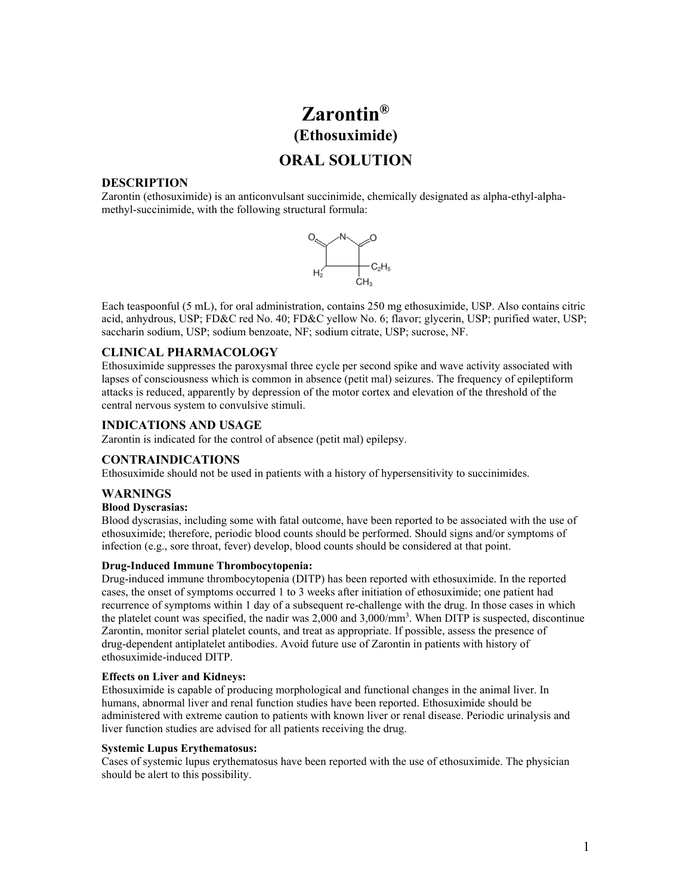# **Zarontin® (Ethosuximide) ORAL SOLUTION**

#### **DESCRIPTION**

Zarontin (ethosuximide) is an anticonvulsant succinimide, chemically designated as alpha-ethyl-alphamethyl-succinimide, with the following structural formula:



Each teaspoonful (5 mL), for oral administration, contains 250 mg ethosuximide, USP. Also contains citric acid, anhydrous, USP; FD&C red No. 40; FD&C yellow No. 6; flavor; glycerin, USP; purified water, USP; saccharin sodium, USP; sodium benzoate, NF; sodium citrate, USP; sucrose, NF.

#### **CLINICAL PHARMACOLOGY**

Ethosuximide suppresses the paroxysmal three cycle per second spike and wave activity associated with lapses of consciousness which is common in absence (petit mal) seizures. The frequency of epileptiform attacks is reduced, apparently by depression of the motor cortex and elevation of the threshold of the central nervous system to convulsive stimuli.

#### **INDICATIONS AND USAGE**

Zarontin is indicated for the control of absence (petit mal) epilepsy.

### **CONTRAINDICATIONS**

Ethosuximide should not be used in patients with a history of hypersensitivity to succinimides.

#### **WARNINGS**

#### **Blood Dyscrasias:**

Blood dyscrasias, including some with fatal outcome, have been reported to be associated with the use of ethosuximide; therefore, periodic blood counts should be performed. Should signs and/or symptoms of infection (e.g., sore throat, fever) develop, blood counts should be considered at that point.

### **Drug-Induced Immune Thrombocytopenia:**

Drug-induced immune thrombocytopenia (DITP) has been reported with ethosuximide. In the reported cases, the onset of symptoms occurred 1 to 3 weeks after initiation of ethosuximide; one patient had recurrence of symptoms within 1 day of a subsequent re-challenge with the drug. In those cases in which the platelet count was specified, the nadir was 2,000 and 3,000/mm<sup>3</sup>. When DITP is suspected, discontinue Zarontin, monitor serial platelet counts, and treat as appropriate. If possible, assess the presence of drug-dependent antiplatelet antibodies. Avoid future use of Zarontin in patients with history of ethosuximide-induced DITP.

#### **Effects on Liver and Kidneys:**

Ethosuximide is capable of producing morphological and functional changes in the animal liver. In humans, abnormal liver and renal function studies have been reported. Ethosuximide should be administered with extreme caution to patients with known liver or renal disease. Periodic urinalysis and liver function studies are advised for all patients receiving the drug.

#### **Systemic Lupus Erythematosus:**

Cases of systemic lupus erythematosus have been reported with the use of ethosuximide. The physician should be alert to this possibility.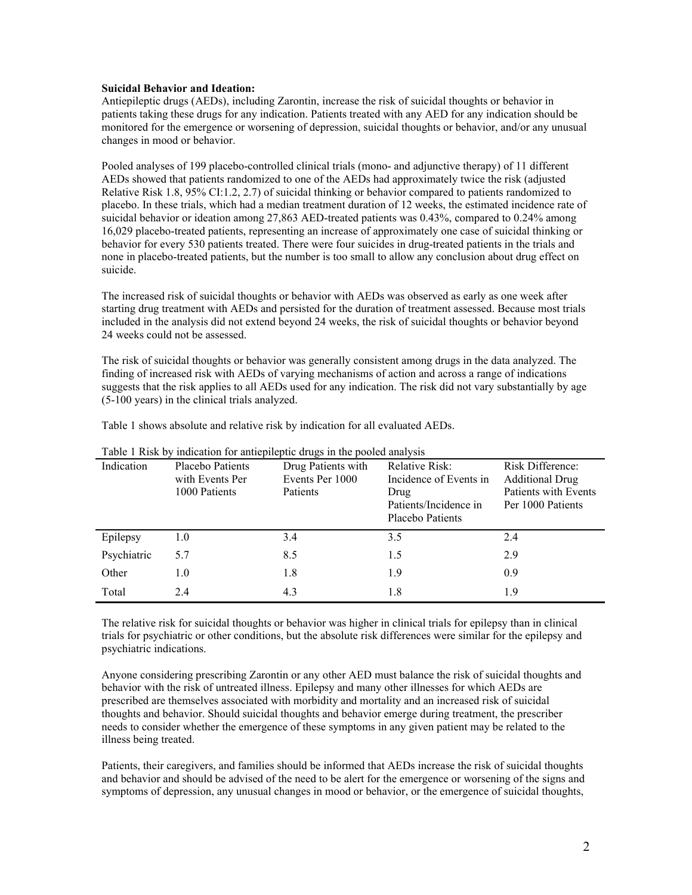#### **Suicidal Behavior and Ideation:**

Antiepileptic drugs (AEDs), including Zarontin, increase the risk of suicidal thoughts or behavior in patients taking these drugs for any indication. Patients treated with any AED for any indication should be monitored for the emergence or worsening of depression, suicidal thoughts or behavior, and/or any unusual changes in mood or behavior.

Pooled analyses of 199 placebo-controlled clinical trials (mono- and adjunctive therapy) of 11 different AEDs showed that patients randomized to one of the AEDs had approximately twice the risk (adjusted Relative Risk 1.8, 95% CI:1.2, 2.7) of suicidal thinking or behavior compared to patients randomized to placebo. In these trials, which had a median treatment duration of 12 weeks, the estimated incidence rate of suicidal behavior or ideation among 27,863 AED-treated patients was 0.43%, compared to 0.24% among 16,029 placebo-treated patients, representing an increase of approximately one case of suicidal thinking or behavior for every 530 patients treated. There were four suicides in drug-treated patients in the trials and none in placebo-treated patients, but the number is too small to allow any conclusion about drug effect on suicide.

The increased risk of suicidal thoughts or behavior with AEDs was observed as early as one week after starting drug treatment with AEDs and persisted for the duration of treatment assessed. Because most trials included in the analysis did not extend beyond 24 weeks, the risk of suicidal thoughts or behavior beyond 24 weeks could not be assessed.

The risk of suicidal thoughts or behavior was generally consistent among drugs in the data analyzed. The finding of increased risk with AEDs of varying mechanisms of action and across a range of indications suggests that the risk applies to all AEDs used for any indication. The risk did not vary substantially by age (5-100 years) in the clinical trials analyzed.

| Table T Risk by indication for antiephepitc drugs in the pooled analysis |                                                      |                                                   |                                                                                                      |                                                                                         |
|--------------------------------------------------------------------------|------------------------------------------------------|---------------------------------------------------|------------------------------------------------------------------------------------------------------|-----------------------------------------------------------------------------------------|
| Indication                                                               | Placebo Patients<br>with Events Per<br>1000 Patients | Drug Patients with<br>Events Per 1000<br>Patients | <b>Relative Risk:</b><br>Incidence of Events in<br>Drug<br>Patients/Incidence in<br>Placebo Patients | Risk Difference:<br><b>Additional Drug</b><br>Patients with Events<br>Per 1000 Patients |
| Epilepsy                                                                 | $1.0\,$                                              | 3.4                                               | 3.5                                                                                                  | 2.4                                                                                     |
| Psychiatric                                                              | 5.7                                                  | 8.5                                               | 1.5                                                                                                  | 2.9                                                                                     |
| Other                                                                    | 1.0                                                  | 1.8                                               | 1.9                                                                                                  | 0.9                                                                                     |
| Total                                                                    | 2.4                                                  | 4.3                                               | 1.8                                                                                                  | 1.9                                                                                     |

Table 1 shows absolute and relative risk by indication for all evaluated AEDs.

Table 1 Risk by indication for antiepileptic drugs in the pooled analysis

The relative risk for suicidal thoughts or behavior was higher in clinical trials for epilepsy than in clinical trials for psychiatric or other conditions, but the absolute risk differences were similar for the epilepsy and psychiatric indications.

Anyone considering prescribing Zarontin or any other AED must balance the risk of suicidal thoughts and behavior with the risk of untreated illness. Epilepsy and many other illnesses for which AEDs are prescribed are themselves associated with morbidity and mortality and an increased risk of suicidal thoughts and behavior. Should suicidal thoughts and behavior emerge during treatment, the prescriber needs to consider whether the emergence of these symptoms in any given patient may be related to the illness being treated.

Patients, their caregivers, and families should be informed that AEDs increase the risk of suicidal thoughts and behavior and should be advised of the need to be alert for the emergence or worsening of the signs and symptoms of depression, any unusual changes in mood or behavior, or the emergence of suicidal thoughts,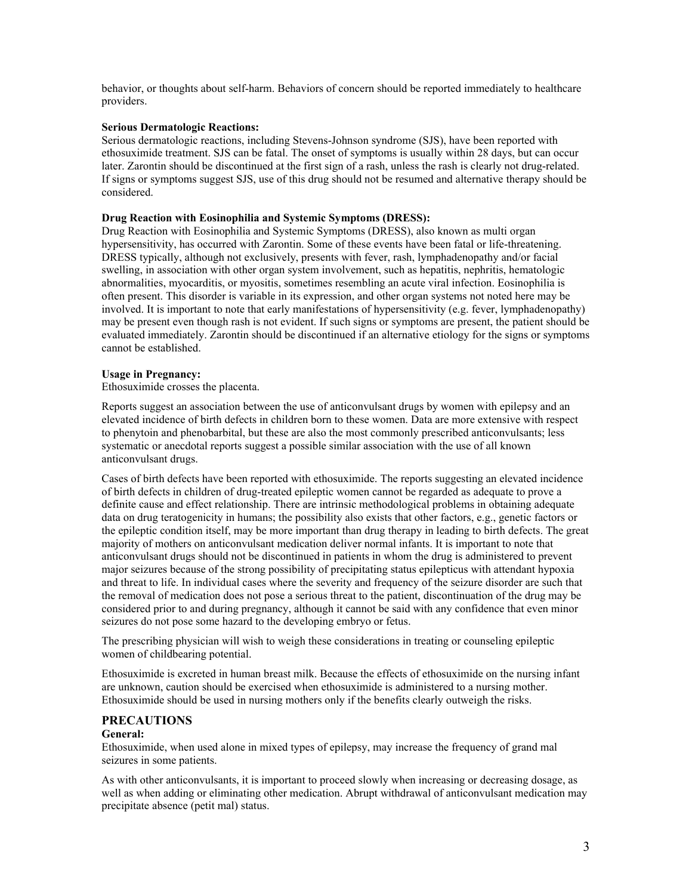behavior, or thoughts about self-harm. Behaviors of concern should be reported immediately to healthcare providers.

#### **Serious Dermatologic Reactions:**

Serious dermatologic reactions, including Stevens-Johnson syndrome (SJS), have been reported with ethosuximide treatment. SJS can be fatal. The onset of symptoms is usually within 28 days, but can occur later. Zarontin should be discontinued at the first sign of a rash, unless the rash is clearly not drug-related. If signs or symptoms suggest SJS, use of this drug should not be resumed and alternative therapy should be considered.

#### **Drug Reaction with Eosinophilia and Systemic Symptoms (DRESS):**

Drug Reaction with Eosinophilia and Systemic Symptoms (DRESS), also known as multi organ hypersensitivity, has occurred with Zarontin. Some of these events have been fatal or life-threatening. DRESS typically, although not exclusively, presents with fever, rash, lymphadenopathy and/or facial swelling, in association with other organ system involvement, such as hepatitis, nephritis, hematologic abnormalities, myocarditis, or myositis, sometimes resembling an acute viral infection. Eosinophilia is often present. This disorder is variable in its expression, and other organ systems not noted here may be involved. It is important to note that early manifestations of hypersensitivity (e.g. fever, lymphadenopathy) may be present even though rash is not evident. If such signs or symptoms are present, the patient should be evaluated immediately. Zarontin should be discontinued if an alternative etiology for the signs or symptoms cannot be established.

#### **Usage in Pregnancy:**

Ethosuximide crosses the placenta.

Reports suggest an association between the use of anticonvulsant drugs by women with epilepsy and an elevated incidence of birth defects in children born to these women. Data are more extensive with respect to phenytoin and phenobarbital, but these are also the most commonly prescribed anticonvulsants; less systematic or anecdotal reports suggest a possible similar association with the use of all known anticonvulsant drugs.

Cases of birth defects have been reported with ethosuximide. The reports suggesting an elevated incidence of birth defects in children of drug-treated epileptic women cannot be regarded as adequate to prove a definite cause and effect relationship. There are intrinsic methodological problems in obtaining adequate data on drug teratogenicity in humans; the possibility also exists that other factors, e.g., genetic factors or the epileptic condition itself, may be more important than drug therapy in leading to birth defects. The great majority of mothers on anticonvulsant medication deliver normal infants. It is important to note that anticonvulsant drugs should not be discontinued in patients in whom the drug is administered to prevent major seizures because of the strong possibility of precipitating status epilepticus with attendant hypoxia and threat to life. In individual cases where the severity and frequency of the seizure disorder are such that the removal of medication does not pose a serious threat to the patient, discontinuation of the drug may be considered prior to and during pregnancy, although it cannot be said with any confidence that even minor seizures do not pose some hazard to the developing embryo or fetus.

The prescribing physician will wish to weigh these considerations in treating or counseling epileptic women of childbearing potential.

Ethosuximide is excreted in human breast milk. Because the effects of ethosuximide on the nursing infant are unknown, caution should be exercised when ethosuximide is administered to a nursing mother. Ethosuximide should be used in nursing mothers only if the benefits clearly outweigh the risks.

### **PRECAUTIONS**

#### **General:**

Ethosuximide, when used alone in mixed types of epilepsy, may increase the frequency of grand mal seizures in some patients.

As with other anticonvulsants, it is important to proceed slowly when increasing or decreasing dosage, as well as when adding or eliminating other medication. Abrupt withdrawal of anticonvulsant medication may precipitate absence (petit mal) status.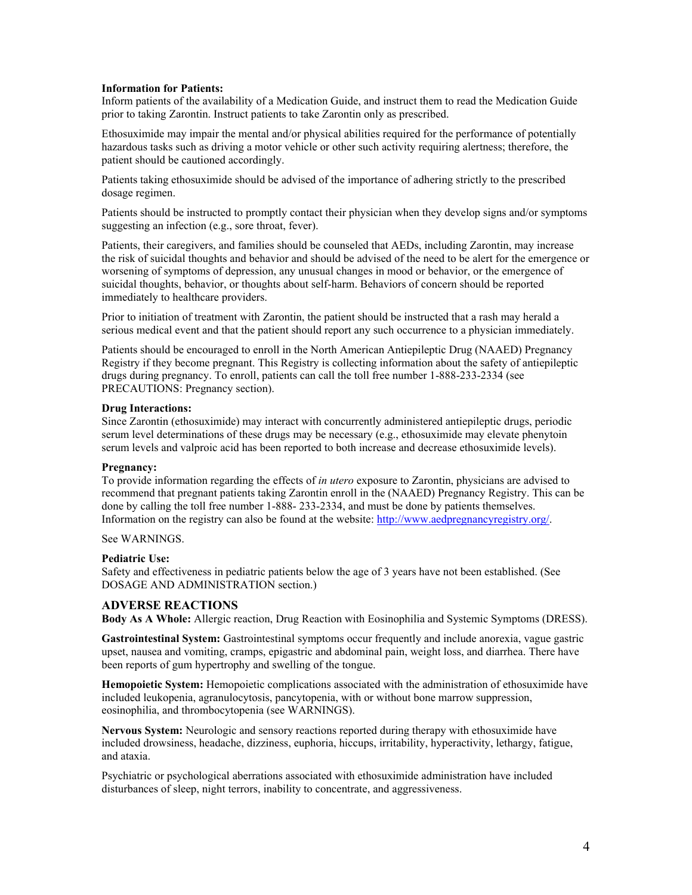#### **Information for Patients:**

Inform patients of the availability of a Medication Guide, and instruct them to read the Medication Guide prior to taking Zarontin. Instruct patients to take Zarontin only as prescribed.

Ethosuximide may impair the mental and/or physical abilities required for the performance of potentially hazardous tasks such as driving a motor vehicle or other such activity requiring alertness; therefore, the patient should be cautioned accordingly.

Patients taking ethosuximide should be advised of the importance of adhering strictly to the prescribed dosage regimen.

Patients should be instructed to promptly contact their physician when they develop signs and/or symptoms suggesting an infection (e.g., sore throat, fever).

Patients, their caregivers, and families should be counseled that AEDs, including Zarontin, may increase the risk of suicidal thoughts and behavior and should be advised of the need to be alert for the emergence or worsening of symptoms of depression, any unusual changes in mood or behavior, or the emergence of suicidal thoughts, behavior, or thoughts about self-harm. Behaviors of concern should be reported immediately to healthcare providers.

Prior to initiation of treatment with Zarontin, the patient should be instructed that a rash may herald a serious medical event and that the patient should report any such occurrence to a physician immediately.

Patients should be encouraged to enroll in the North American Antiepileptic Drug (NAAED) Pregnancy Registry if they become pregnant. This Registry is collecting information about the safety of antiepileptic drugs during pregnancy. To enroll, patients can call the toll free number 1-888-233-2334 (see PRECAUTIONS: Pregnancy section).

#### **Drug Interactions:**

Since Zarontin (ethosuximide) may interact with concurrently administered antiepileptic drugs, periodic serum level determinations of these drugs may be necessary (e.g., ethosuximide may elevate phenytoin serum levels and valproic acid has been reported to both increase and decrease ethosuximide levels).

#### **Pregnancy:**

To provide information regarding the effects of *in utero* exposure to Zarontin, physicians are advised to recommend that pregnant patients taking Zarontin enroll in the (NAAED) Pregnancy Registry. This can be done by calling the toll free number 1-888- 233-2334, and must be done by patients themselves. Information on the registry can also be found at the website:<http://www.aedpregnancyregistry.org/>.

See WARNINGS.

#### **Pediatric Use:**

Safety and effectiveness in pediatric patients below the age of 3 years have not been established. (See DOSAGE AND ADMINISTRATION section.)

#### **ADVERSE REACTIONS**

**Body As A Whole:** Allergic reaction, Drug Reaction with Eosinophilia and Systemic Symptoms (DRESS).

**Gastrointestinal System:** Gastrointestinal symptoms occur frequently and include anorexia, vague gastric upset, nausea and vomiting, cramps, epigastric and abdominal pain, weight loss, and diarrhea. There have been reports of gum hypertrophy and swelling of the tongue.

**Hemopoietic System:** Hemopoietic complications associated with the administration of ethosuximide have included leukopenia, agranulocytosis, pancytopenia, with or without bone marrow suppression, eosinophilia, and thrombocytopenia (see WARNINGS).

**Nervous System:** Neurologic and sensory reactions reported during therapy with ethosuximide have included drowsiness, headache, dizziness, euphoria, hiccups, irritability, hyperactivity, lethargy, fatigue, and ataxia.

Psychiatric or psychological aberrations associated with ethosuximide administration have included disturbances of sleep, night terrors, inability to concentrate, and aggressiveness.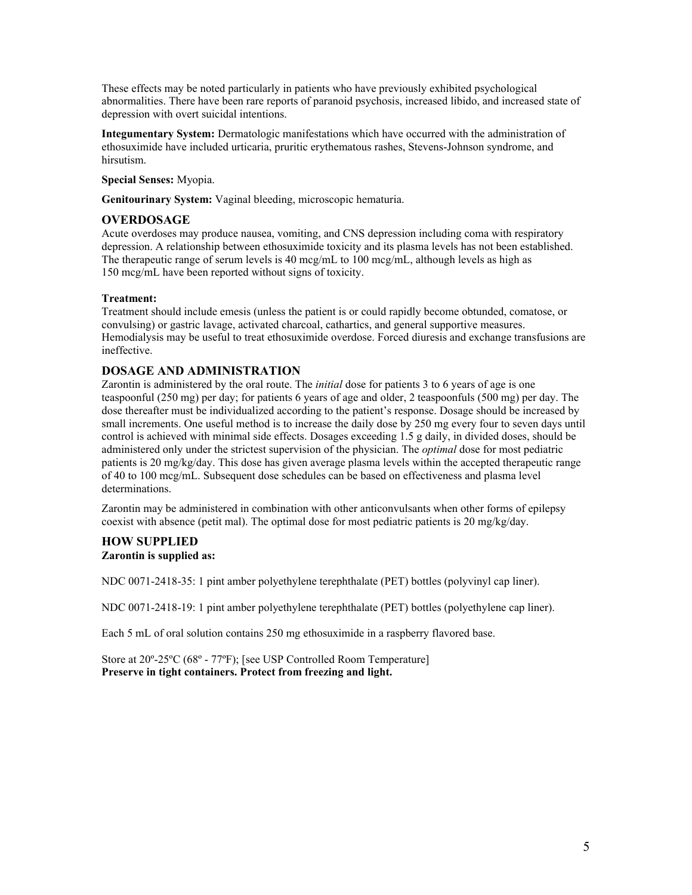These effects may be noted particularly in patients who have previously exhibited psychological abnormalities. There have been rare reports of paranoid psychosis, increased libido, and increased state of depression with overt suicidal intentions.

**Integumentary System:** Dermatologic manifestations which have occurred with the administration of ethosuximide have included urticaria, pruritic erythematous rashes, Stevens-Johnson syndrome, and hirsutism.

**Special Senses:** Myopia.

**Genitourinary System:** Vaginal bleeding, microscopic hematuria.

#### **OVERDOSAGE**

Acute overdoses may produce nausea, vomiting, and CNS depression including coma with respiratory depression. A relationship between ethosuximide toxicity and its plasma levels has not been established. The therapeutic range of serum levels is 40 mcg/mL to 100 mcg/mL, although levels as high as 150 mcg/mL have been reported without signs of toxicity.

#### **Treatment:**

Treatment should include emesis (unless the patient is or could rapidly become obtunded, comatose, or convulsing) or gastric lavage, activated charcoal, cathartics, and general supportive measures. Hemodialysis may be useful to treat ethosuximide overdose. Forced diuresis and exchange transfusions are ineffective.

### **DOSAGE AND ADMINISTRATION**

Zarontin is administered by the oral route. The *initial* dose for patients 3 to 6 years of age is one teaspoonful (250 mg) per day; for patients 6 years of age and older, 2 teaspoonfuls (500 mg) per day. The dose thereafter must be individualized according to the patient's response. Dosage should be increased by small increments. One useful method is to increase the daily dose by 250 mg every four to seven days until control is achieved with minimal side effects. Dosages exceeding 1.5 g daily, in divided doses, should be administered only under the strictest supervision of the physician. The *optimal* dose for most pediatric patients is 20 mg/kg/day. This dose has given average plasma levels within the accepted therapeutic range of 40 to 100 mcg/mL. Subsequent dose schedules can be based on effectiveness and plasma level determinations.

Zarontin may be administered in combination with other anticonvulsants when other forms of epilepsy coexist with absence (petit mal). The optimal dose for most pediatric patients is 20 mg/kg/day.

#### **HOW SUPPLIED Zarontin is supplied as:**

NDC 0071-2418-35: 1 pint amber polyethylene terephthalate (PET) bottles (polyvinyl cap liner).

NDC 0071-2418-19: 1 pint amber polyethylene terephthalate (PET) bottles (polyethylene cap liner).

Each 5 mL of oral solution contains 250 mg ethosuximide in a raspberry flavored base.

Store at 20º-25ºC (68º - 77ºF); [see USP Controlled Room Temperature] **Preserve in tight containers. Protect from freezing and light.**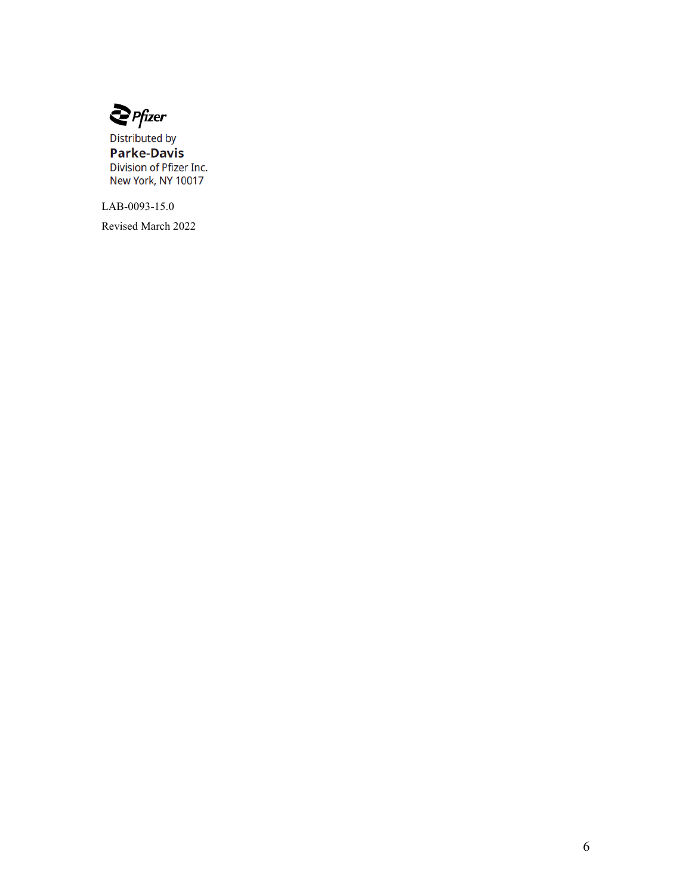$\sum$  Pfizer

**Distributed by** Parke-Davis Division of Pfizer Inc.<br>New York, NY 10017

LAB-0093-15.0

Revised March 2022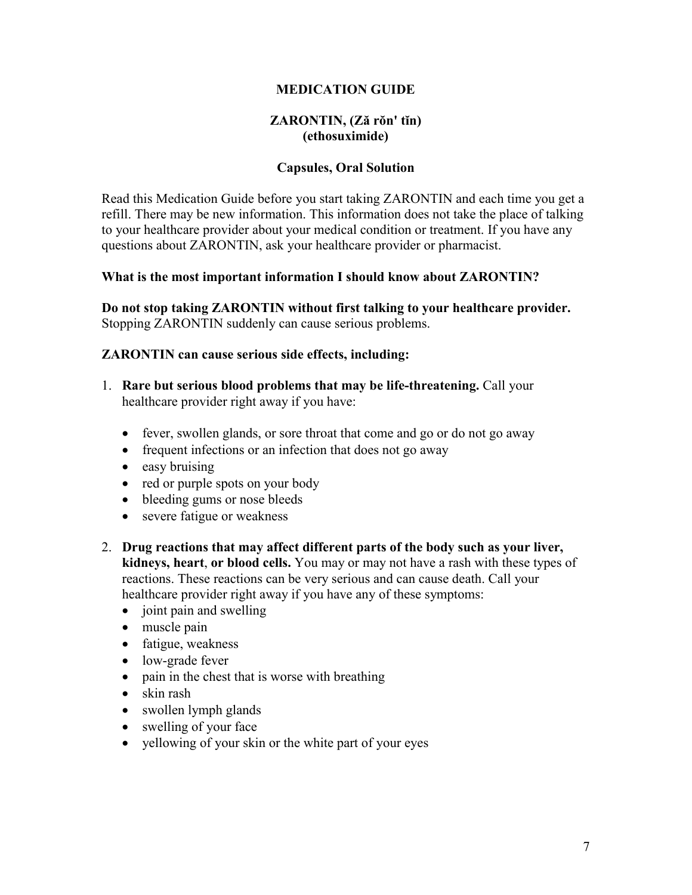# **MEDICATION GUIDE**

### **ZARONTIN, (Ză rŏn' tĭn) (ethosuximide)**

### **Capsules, Oral Solution**

Read this Medication Guide before you start taking ZARONTIN and each time you get a refill. There may be new information. This information does not take the place of talking to your healthcare provider about your medical condition or treatment. If you have any questions about ZARONTIN, ask your healthcare provider or pharmacist.

### **What is the most important information I should know about ZARONTIN?**

**Do not stop taking ZARONTIN without first talking to your healthcare provider.** Stopping ZARONTIN suddenly can cause serious problems.

### **ZARONTIN can cause serious side effects, including:**

- 1. **Rare but serious blood problems that may be life-threatening.** Call your healthcare provider right away if you have:
	- fever, swollen glands, or sore throat that come and go or do not go away
	- frequent infections or an infection that does not go away
	- easy bruising
	- red or purple spots on your body
	- bleeding gums or nose bleeds
	- severe fatigue or weakness
- 2. **Drug reactions that may affect different parts of the body such as your liver, kidneys, heart**, **or blood cells.** You may or may not have a rash with these types of reactions. These reactions can be very serious and can cause death. Call your healthcare provider right away if you have any of these symptoms:
	- joint pain and swelling
	- muscle pain
	- fatigue, weakness
	- low-grade fever
	- pain in the chest that is worse with breathing
	- skin rash
	- swollen lymph glands
	- swelling of your face
	- yellowing of your skin or the white part of your eyes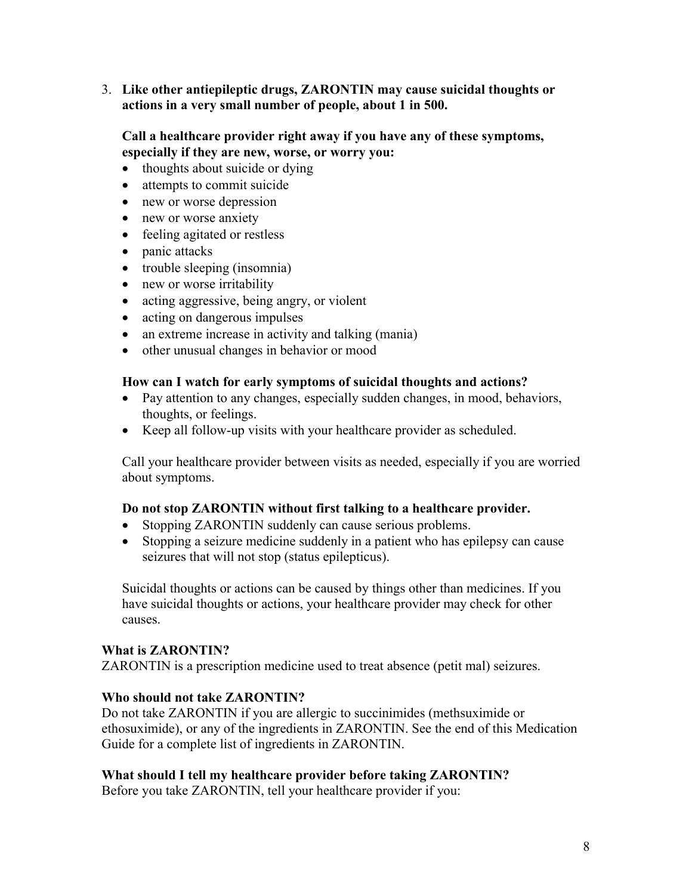3. **Like other antiepileptic drugs, ZARONTIN may cause suicidal thoughts or actions in a very small number of people, about 1 in 500.**

# **Call a healthcare provider right away if you have any of these symptoms, especially if they are new, worse, or worry you:**

- thoughts about suicide or dying
- attempts to commit suicide
- new or worse depression
- new or worse anxiety
- feeling agitated or restless
- panic attacks
- trouble sleeping (insomnia)
- new or worse irritability
- acting aggressive, being angry, or violent
- acting on dangerous impulses
- an extreme increase in activity and talking (mania)
- other unusual changes in behavior or mood

# **How can I watch for early symptoms of suicidal thoughts and actions?**

- Pay attention to any changes, especially sudden changes, in mood, behaviors, thoughts, or feelings.
- Keep all follow-up visits with your healthcare provider as scheduled.

Call your healthcare provider between visits as needed, especially if you are worried about symptoms.

# **Do not stop ZARONTIN without first talking to a healthcare provider.**

- Stopping ZARONTIN suddenly can cause serious problems.
- Stopping a seizure medicine suddenly in a patient who has epilepsy can cause seizures that will not stop (status epilepticus).

Suicidal thoughts or actions can be caused by things other than medicines. If you have suicidal thoughts or actions, your healthcare provider may check for other causes.

# **What is ZARONTIN?**

ZARONTIN is a prescription medicine used to treat absence (petit mal) seizures.

# **Who should not take ZARONTIN?**

Do not take ZARONTIN if you are allergic to succinimides (methsuximide or ethosuximide), or any of the ingredients in ZARONTIN. See the end of this Medication Guide for a complete list of ingredients in ZARONTIN.

# **What should I tell my healthcare provider before taking ZARONTIN?**

Before you take ZARONTIN, tell your healthcare provider if you: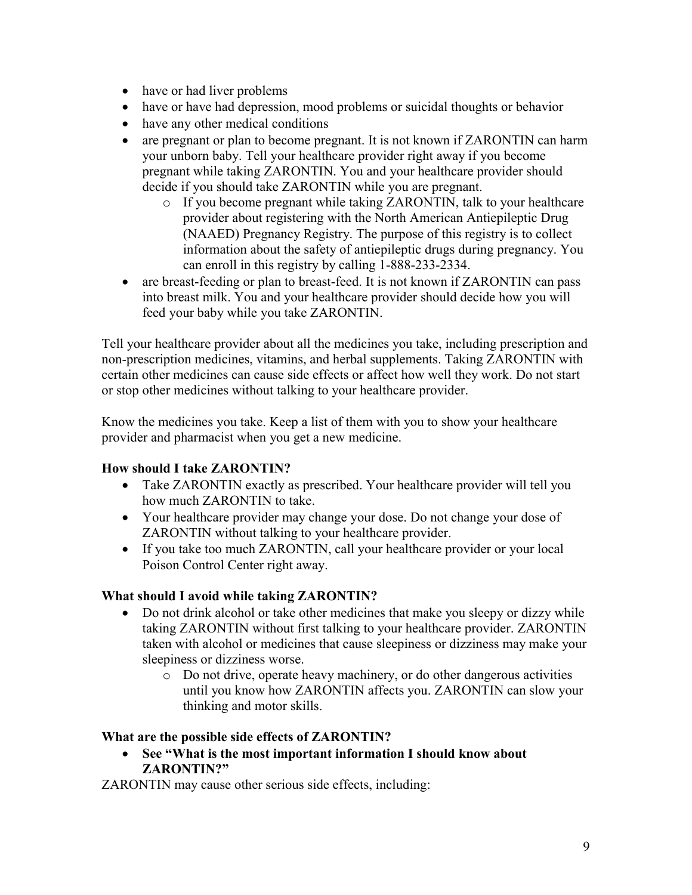- have or had liver problems
- have or have had depression, mood problems or suicidal thoughts or behavior
- have any other medical conditions
- are pregnant or plan to become pregnant. It is not known if ZARONTIN can harm your unborn baby. Tell your healthcare provider right away if you become pregnant while taking ZARONTIN. You and your healthcare provider should decide if you should take ZARONTIN while you are pregnant.
	- o If you become pregnant while taking ZARONTIN, talk to your healthcare provider about registering with the North American Antiepileptic Drug (NAAED) Pregnancy Registry. The purpose of this registry is to collect information about the safety of antiepileptic drugs during pregnancy. You can enroll in this registry by calling 1-888-233-2334.
- are breast-feeding or plan to breast-feed. It is not known if ZARONTIN can pass into breast milk. You and your healthcare provider should decide how you will feed your baby while you take ZARONTIN.

Tell your healthcare provider about all the medicines you take, including prescription and non-prescription medicines, vitamins, and herbal supplements. Taking ZARONTIN with certain other medicines can cause side effects or affect how well they work. Do not start or stop other medicines without talking to your healthcare provider.

Know the medicines you take. Keep a list of them with you to show your healthcare provider and pharmacist when you get a new medicine.

# **How should I take ZARONTIN?**

- Take ZARONTIN exactly as prescribed. Your healthcare provider will tell you how much ZARONTIN to take.
- Your healthcare provider may change your dose. Do not change your dose of ZARONTIN without talking to your healthcare provider.
- If you take too much ZARONTIN, call your healthcare provider or your local Poison Control Center right away.

# **What should I avoid while taking ZARONTIN?**

- Do not drink alcohol or take other medicines that make you sleepy or dizzy while taking ZARONTIN without first talking to your healthcare provider. ZARONTIN taken with alcohol or medicines that cause sleepiness or dizziness may make your sleepiness or dizziness worse.
	- o Do not drive, operate heavy machinery, or do other dangerous activities until you know how ZARONTIN affects you. ZARONTIN can slow your thinking and motor skills.

# **What are the possible side effects of ZARONTIN?**

 **See "What is the most important information I should know about ZARONTIN?"**

ZARONTIN may cause other serious side effects, including: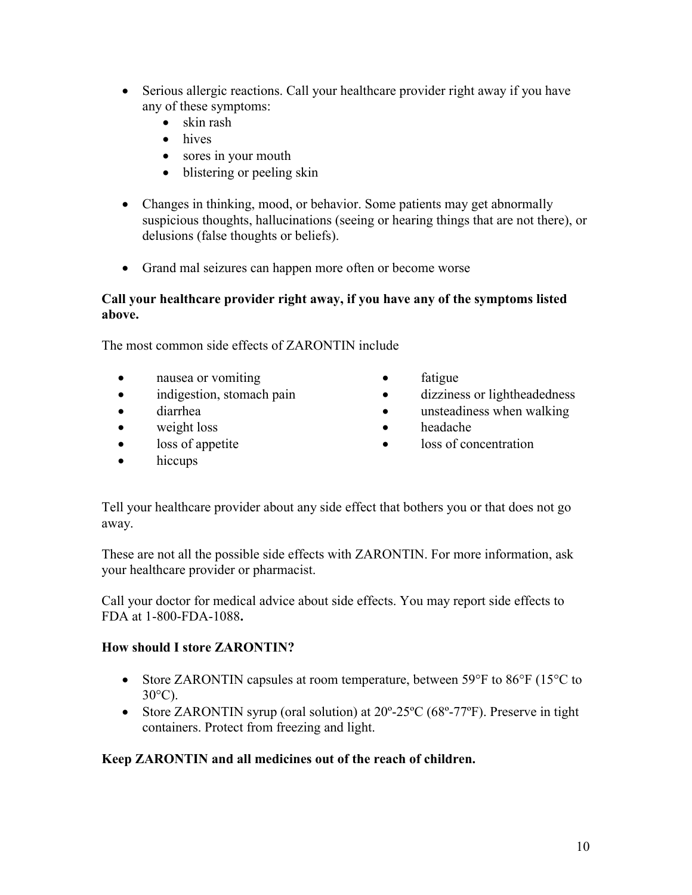- Serious allergic reactions. Call your healthcare provider right away if you have any of these symptoms:
	- skin rash
	- hives
	- sores in your mouth
	- blistering or peeling skin
- Changes in thinking, mood, or behavior. Some patients may get abnormally suspicious thoughts, hallucinations (seeing or hearing things that are not there), or delusions (false thoughts or beliefs).
- Grand mal seizures can happen more often or become worse

### **Call your healthcare provider right away, if you have any of the symptoms listed above.**

The most common side effects of ZARONTIN include

- nausea or vomiting
- indigestion, stomach pain
- diarrhea
- weight loss
- loss of appetite
- hiccups
- fatigue
- dizziness or lightheadedness
- unsteadiness when walking
- headache
- loss of concentration
- Tell your healthcare provider about any side effect that bothers you or that does not go away.

These are not all the possible side effects with ZARONTIN. For more information, ask your healthcare provider or pharmacist.

Call your doctor for medical advice about side effects. You may report side effects to FDA at 1-800-FDA-1088**.** 

# **How should I store ZARONTIN?**

- Store ZARONTIN capsules at room temperature, between  $59^{\circ}$ F to  $86^{\circ}$ F (15<sup>o</sup>C to  $30^{\circ}$ C).
- Store ZARONTIN syrup (oral solution) at  $20^{\circ}$ -25 $^{\circ}$ C (68 $^{\circ}$ -7 $^{\circ}$ F). Preserve in tight containers. Protect from freezing and light.

# **Keep ZARONTIN and all medicines out of the reach of children.**